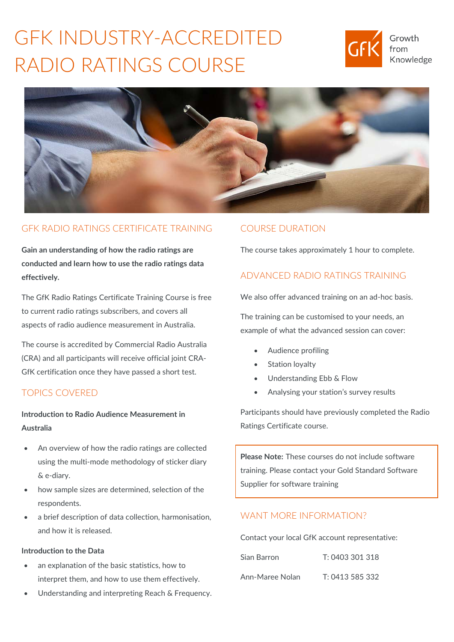# GFK INDUSTRY-ACCREDITED RADIO RATINGS COURSE





## GFK RADIO RATINGS CERTIFICATE TRAINING

**Gain an understanding of how the radio ratings are conducted and learn how to use the radio ratings data effectively.**

The GfK Radio Ratings Certificate Training Course is free to current radio ratings subscribers, and covers all aspects of radio audience measurement in Australia.

The course is accredited by Commercial Radio Australia (CRA) and all participants will receive official joint CRA-GfK certification once they have passed a short test.

## TOPICS COVERED

**Introduction to Radio Audience Measurement in Australia**

- An overview of how the radio ratings are collected using the multi-mode methodology of sticker diary & e-diary.
- how sample sizes are determined, selection of the respondents.
- a brief description of data collection, harmonisation, and how it is released.

### **Introduction to the Data**

- an explanation of the basic statistics, how to interpret them, and how to use them effectively.
- Understanding and interpreting Reach & Frequency.

## COURSE DURATION

The course takes approximately 1 hour to complete.

# ADVANCED RADIO RATINGS TRAINING

We also offer advanced training on an ad-hoc basis.

The training can be customised to your needs, an example of what the advanced session can cover:

- Audience profiling
- Station loyalty
- Understanding Ebb & Flow
- Analysing your station's survey results

Participants should have previously completed the Radio Ratings Certificate course.

**Please Note:** These courses do not include software training. Please contact your Gold Standard Software Supplier for software training

## WANT MORE INFORMATION?

Contact your local GfK account representative:

| Sian Barron     | T: 0403 301 318 |
|-----------------|-----------------|
| Ann-Maree Nolan | T: 0413 585 332 |